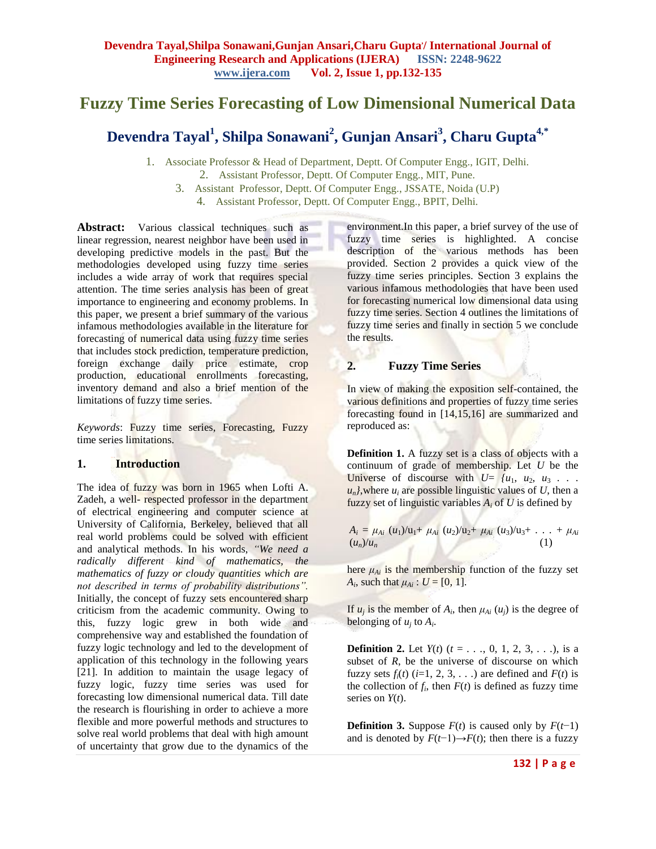## **Fuzzy Time Series Forecasting of Low Dimensional Numerical Data**

# **Devendra Tayal<sup>1</sup> , Shilpa Sonawani<sup>2</sup> , Gunjan Ansari<sup>3</sup> , Charu Gupta4,\***

1. Associate Professor & Head of Department, Deptt. Of Computer Engg., IGIT, Delhi. 2. Assistant Professor, Deptt. Of Computer Engg., MIT, Pune.

3. Assistant Professor, Deptt. Of Computer Engg., JSSATE, Noida (U.P) 4. Assistant Professor, Deptt. Of Computer Engg., BPIT, Delhi.

**Abstract:** Various classical techniques such as linear regression, nearest neighbor have been used in developing predictive models in the past. But the methodologies developed using fuzzy time series includes a wide array of work that requires special attention. The time series analysis has been of great importance to engineering and economy problems. In this paper, we present a brief summary of the various infamous methodologies available in the literature for forecasting of numerical data using fuzzy time series that includes stock prediction, temperature prediction, foreign exchange daily price estimate, crop production, educational enrollments forecasting, inventory demand and also a brief mention of the limitations of fuzzy time series.

*Keywords*: Fuzzy time series, Forecasting, Fuzzy time series limitations.

### **1. Introduction**

The idea of fuzzy was born in 1965 when Lofti A. Zadeh, a well- respected professor in the department of electrical engineering and computer science at University of California, Berkeley, believed that all real world problems could be solved with efficient and analytical methods. In his words, *"We need a radically different kind of mathematics, the mathematics of fuzzy or cloudy quantities which are not described in terms of probability distributions".*  Initially, the concept of fuzzy sets encountered sharp criticism from the academic community. Owing to this, fuzzy logic grew in both wide and comprehensive way and established the foundation of fuzzy logic technology and led to the development of application of this technology in the following years [21]. In addition to maintain the usage legacy of fuzzy logic, fuzzy time series was used for forecasting low dimensional numerical data. Till date the research is flourishing in order to achieve a more flexible and more powerful methods and structures to solve real world problems that deal with high amount of uncertainty that grow due to the dynamics of the

environment.In this paper, a brief survey of the use of fuzzy time series is highlighted. A concise description of the various methods has been provided. Section 2 provides a quick view of the fuzzy time series principles. Section 3 explains the various infamous methodologies that have been used for forecasting numerical low dimensional data using fuzzy time series. Section 4 outlines the limitations of fuzzy time series and finally in section 5 we conclude the results.

## **2. Fuzzy Time Series**

In view of making the exposition self-contained, the various definitions and properties of fuzzy time series forecasting found in [14,15,16] are summarized and reproduced as:

**Definition 1.** A fuzzy set is a class of objects with a continuum of grade of membership. Let *U* be the Universe of discourse with  $U = \{u_1, u_2, u_3, \ldots\}$  $u_n$ , where  $u_i$  are possible linguistic values of *U*, then a fuzzy set of linguistic variables  $A_i$  of  $U$  is defined by

$$
A_i = \mu_{Ai} (u_1)/u_1 + \mu_{Ai} (u_2)/u_2 + \mu_{Ai} (u_3)/u_3 + \ldots + \mu_{Ai} (u_n)/u_n
$$
 (1)

here  $\mu_{Ai}$  is the membership function of the fuzzy set *A*<sub>*i*</sub>, such that  $\mu_{Ai}$  :  $U = [0, 1]$ .

If  $u_j$  is the member of  $A_i$ , then  $\mu_{Ai}(u_j)$  is the degree of belonging of  $u_j$  to  $A_i$ .

**Definition 2.** Let  $Y(t)$  ( $t = 1, 2, 3, \ldots$ ), is a subset of *R*, be the universe of discourse on which fuzzy sets  $f_i(t)$  ( $i=1, 2, 3, \ldots$ ) are defined and  $F(t)$  is the collection of  $f_i$ , then  $F(t)$  is defined as fuzzy time series on *Y*(*t*).

**Definition 3.** Suppose  $F(t)$  is caused only by  $F(t-1)$ and is denoted by  $F(t-1) \rightarrow F(t)$ ; then there is a fuzzy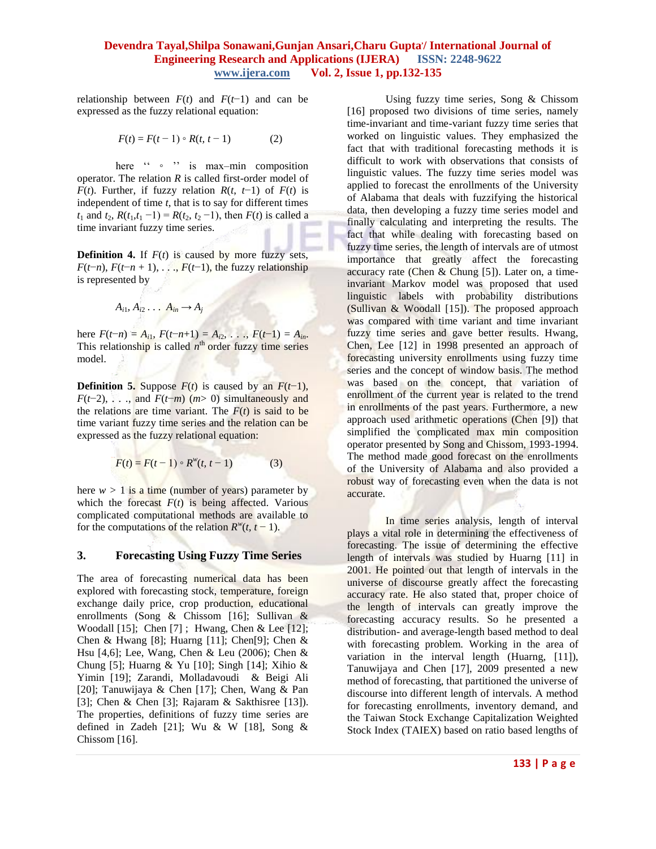## **Devendra Tayal,Shilpa Sonawani,Gunjan Ansari,Charu Gupta, / International Journal of Engineering Research and Applications (IJERA) ISSN: 2248-9622 www.ijera.com Vol. 2, Issue 1, pp.132-135**

relationship between  $F(t)$  and  $F(t-1)$  and can be expressed as the fuzzy relational equation:

$$
F(t) = F(t-1) \circ R(t, t-1)
$$
 (2)

here " ∘ " is max–min composition operator. The relation *R* is called first-order model of *F*(*t*). Further, if fuzzy relation *R*(*t*, *t*-1) of *F*(*t*) is independent of time *t*, that is to say for different times *t*<sub>1</sub> and *t*<sub>2</sub>,  $R(t_1, t_1 - 1) = R(t_2, t_2 - 1)$ , then  $F(t)$  is called a time invariant fuzzy time series.

**Definition 4.** If  $F(t)$  is caused by more fuzzy sets, *F*( $t$ −*n*), *F*( $t$ −*n* + 1), *. . .*, *F*( $t$ −1), the fuzzy relationship is represented by

$$
A_{i1}, A_{i2} \ldots A_{in} \rightarrow A_j
$$

here  $F(t-n) = A_{i1}$ ,  $F(t-n+1) = A_{i2}$ , *. . .*,  $F(t-1) = A_{in}$ . This relationship is called  $n<sup>th</sup>$  order fuzzy time series model.

**Definition 5.** Suppose  $F(t)$  is caused by an  $F(t-1)$ , *F*(*t*−2), *. . .*, and *F*(*t*−*m*) (*m*> 0) simultaneously and the relations are time variant. The  $F(t)$  is said to be time variant fuzzy time series and the relation can be expressed as the fuzzy relational equation:

$$
F(t) = F(t-1) \circ R^{w}(t, t-1)
$$
 (3)

here  $w > 1$  is a time (number of years) parameter by which the forecast  $F(t)$  is being affected. Various complicated computational methods are available to for the computations of the relation  $R^w(t, t-1)$ .

### **3. Forecasting Using Fuzzy Time Series**

The area of forecasting numerical data has been explored with forecasting stock, temperature, foreign exchange daily price, crop production, educational enrollments (Song & Chissom [16]; Sullivan & Woodall [15]; Chen [7] ; Hwang, Chen & Lee [12]; Chen & Hwang [8]; Huarng [11]; Chen[9]; Chen & Hsu [4,6]; Lee, Wang, Chen & Leu (2006); Chen & Chung [5]; Huarng & Yu [10]; Singh [14]; Xihio & Yimin [19]; Zarandi, Molladavoudi & Beigi Ali [20]; Tanuwijaya & Chen [17]; Chen, Wang & Pan [3]; Chen & Chen [3]; Rajaram & Sakthisree [13]). The properties, definitions of fuzzy time series are defined in Zadeh [21]; Wu & W [18], Song & Chissom [16].

Using fuzzy time series, Song & Chissom [16] proposed two divisions of time series, namely time-invariant and time-variant fuzzy time series that worked on linguistic values. They emphasized the fact that with traditional forecasting methods it is difficult to work with observations that consists of linguistic values. The fuzzy time series model was applied to forecast the enrollments of the University of Alabama that deals with fuzzifying the historical data, then developing a fuzzy time series model and finally calculating and interpreting the results. The fact that while dealing with forecasting based on fuzzy time series, the length of intervals are of utmost importance that greatly affect the forecasting accuracy rate (Chen & Chung [5]). Later on, a timeinvariant Markov model was proposed that used linguistic labels with probability distributions (Sullivan & Woodall [15]). The proposed approach was compared with time variant and time invariant fuzzy time series and gave better results. Hwang, Chen, Lee [12] in 1998 presented an approach of forecasting university enrollments using fuzzy time series and the concept of window basis. The method was based on the concept, that variation of enrollment of the current year is related to the trend in enrollments of the past years. Furthermore, a new approach used arithmetic operations (Chen [9]) that simplified the complicated max min composition operator presented by Song and Chissom, 1993-1994. The method made good forecast on the enrollments of the University of Alabama and also provided a robust way of forecasting even when the data is not accurate.

In time series analysis, length of interval plays a vital role in determining the effectiveness of forecasting. The issue of determining the effective length of intervals was studied by Huarng [11] in 2001. He pointed out that length of intervals in the universe of discourse greatly affect the forecasting accuracy rate. He also stated that, proper choice of the length of intervals can greatly improve the forecasting accuracy results. So he presented a distribution- and average-length based method to deal with forecasting problem. Working in the area of variation in the interval length (Huarng,  $[11]$ ), Tanuwijaya and Chen [17], 2009 presented a new method of forecasting, that partitioned the universe of discourse into different length of intervals. A method for forecasting enrollments, inventory demand, and the Taiwan Stock Exchange Capitalization Weighted Stock Index (TAIEX) based on ratio based lengths of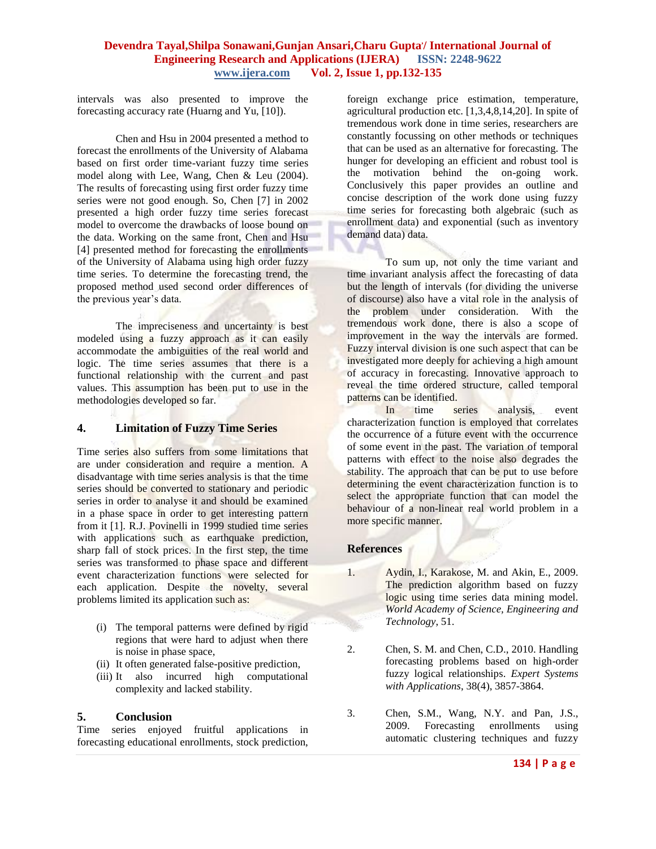## **Devendra Tayal,Shilpa Sonawani,Gunjan Ansari,Charu Gupta, / International Journal of Engineering Research and Applications (IJERA) ISSN: 2248-9622 www.ijera.com Vol. 2, Issue 1, pp.132-135**

intervals was also presented to improve the forecasting accuracy rate (Huarng and Yu, [10]).

Chen and Hsu in 2004 presented a method to forecast the enrollments of the University of Alabama based on first order time-variant fuzzy time series model along with Lee, Wang, Chen & Leu (2004). The results of forecasting using first order fuzzy time series were not good enough. So, Chen [7] in 2002 presented a high order fuzzy time series forecast model to overcome the drawbacks of loose bound on the data. Working on the same front, Chen and Hsu [4] presented method for forecasting the enrollments of the University of Alabama using high order fuzzy time series. To determine the forecasting trend, the proposed method used second order differences of the previous year's data.

The impreciseness and uncertainty is best modeled using a fuzzy approach as it can easily accommodate the ambiguities of the real world and logic. The time series assumes that there is a functional relationship with the current and past values. This assumption has been put to use in the methodologies developed so far.

### **4. Limitation of Fuzzy Time Series**

Time series also suffers from some limitations that are under consideration and require a mention. A disadvantage with time series analysis is that the time series should be converted to stationary and periodic series in order to analyse it and should be examined in a phase space in order to get interesting pattern from it [1]. R.J. Povinelli in 1999 studied time series with applications such as earthquake prediction, sharp fall of stock prices. In the first step, the time series was transformed to phase space and different event characterization functions were selected for each application. Despite the novelty, several problems limited its application such as:

- (i) The temporal patterns were defined by rigid regions that were hard to adjust when there is noise in phase space,
- (ii) It often generated false-positive prediction,
- (iii) It also incurred high computational complexity and lacked stability.

### **5. Conclusion**

Time series enjoyed fruitful applications in forecasting educational enrollments, stock prediction,

foreign exchange price estimation, temperature, agricultural production etc. [1,3,4,8,14,20]. In spite of tremendous work done in time series, researchers are constantly focussing on other methods or techniques that can be used as an alternative for forecasting. The hunger for developing an efficient and robust tool is the motivation behind the on-going work. Conclusively this paper provides an outline and concise description of the work done using fuzzy time series for forecasting both algebraic (such as enrollment data) and exponential (such as inventory demand data) data.

To sum up, not only the time variant and time invariant analysis affect the forecasting of data but the length of intervals (for dividing the universe of discourse) also have a vital role in the analysis of the problem under consideration. With the tremendous work done, there is also a scope of improvement in the way the intervals are formed. Fuzzy interval division is one such aspect that can be investigated more deeply for achieving a high amount of accuracy in forecasting. Innovative approach to reveal the time ordered structure, called temporal patterns can be identified.

In time series analysis, event characterization function is employed that correlates the occurrence of a future event with the occurrence of some event in the past. The variation of temporal patterns with effect to the noise also degrades the stability. The approach that can be put to use before determining the event characterization function is to select the appropriate function that can model the behaviour of a non-linear real world problem in a more specific manner.

### **References**

- 1. Aydin, I., Karakose, M. and Akin, E., 2009. The prediction algorithm based on fuzzy logic using time series data mining model. *World Academy of Science, Engineering and Technology*, 51.
- 2. Chen, S. M. and Chen, C.D., 2010. Handling forecasting problems based on high-order fuzzy logical relationships. *[Expert Systems](http://www.sciencedirect.com/science/journal/09574174)  [with Applications](http://www.sciencedirect.com/science/journal/09574174)*, [38\(4\)](http://www.sciencedirect.com/science?_ob=PublicationURL&_tockey=%23TOC%235635%232011%23999619995%232833739%23FLA%23&_cdi=5635&_pubType=J&view=c&_auth=y&_acct=C000050221&_version=1&_urlVersion=0&_userid=10&md5=f8ac5ff2ec471bc4b3420bd6cfb94d3e), 3857-3864.
- 3. Chen, S.M., Wang, N.Y. and Pan, J.S., 2009. Forecasting enrollments using automatic clustering techniques and fuzzy